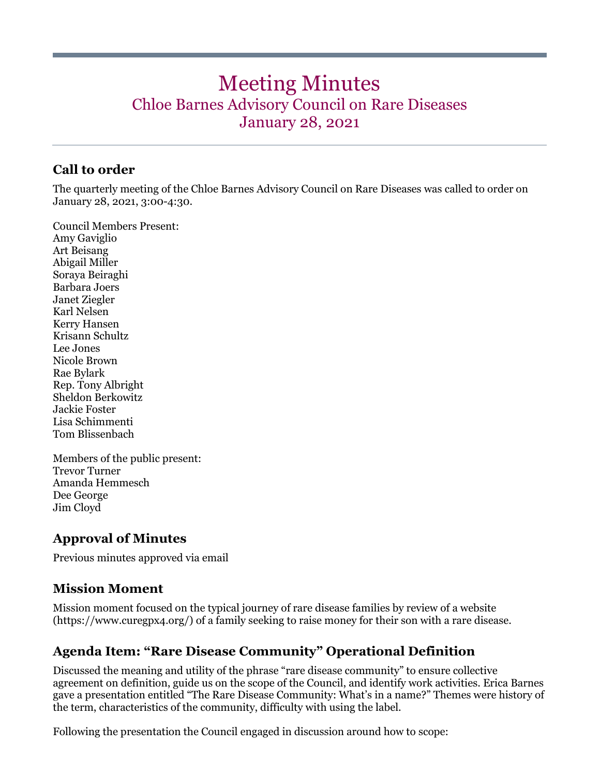# Meeting Minutes Chloe Barnes Advisory Council on Rare Diseases January 28, 2021

## **Call to order**

The quarterly meeting of the Chloe Barnes Advisory Council on Rare Diseases was called to order on January 28, 2021, 3:00-4:30.

Council Members Present: Amy Gaviglio Art Beisang Abigail Miller Soraya Beiraghi Barbara Joers Janet Ziegler Karl Nelsen Kerry Hansen Krisann Schultz Lee Jones Nicole Brown Rae Bylark Rep. Tony Albright Sheldon Berkowitz Jackie Foster Lisa Schimmenti Tom Blissenbach

Members of the public present: Trevor Turner Amanda Hemmesch Dee George Jim Cloyd

### **Approval of Minutes**

Previous minutes approved via email

### **Mission Moment**

Mission moment focused on the typical journey of rare disease families by review of a website (https://www.curegpx4.org/) of a family seeking to raise money for their son with a rare disease.

# **Agenda Item: "Rare Disease Community" Operational Definition**

Discussed the meaning and utility of the phrase "rare disease community" to ensure collective agreement on definition, guide us on the scope of the Council, and identify work activities. Erica Barnes gave a presentation entitled "The Rare Disease Community: What's in a name?" Themes were history of the term, characteristics of the community, difficulty with using the label.

Following the presentation the Council engaged in discussion around how to scope: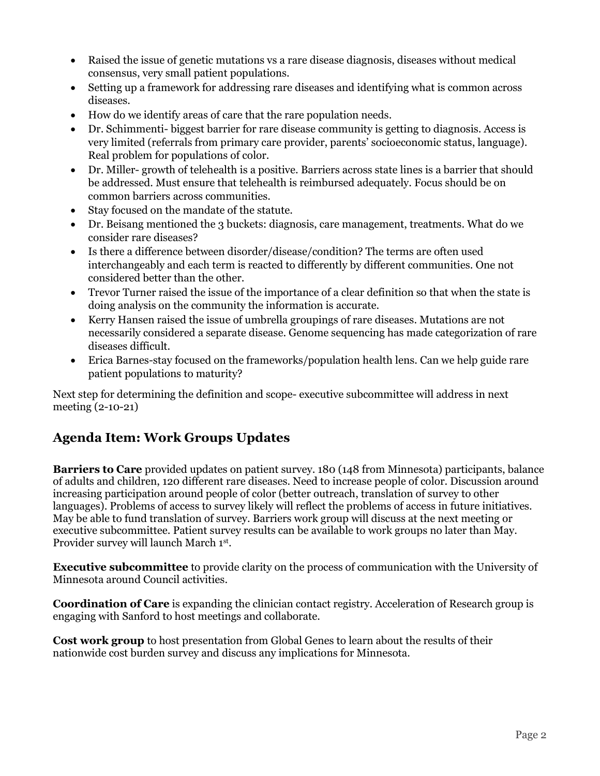- Raised the issue of genetic mutations vs a rare disease diagnosis, diseases without medical consensus, very small patient populations.
- Setting up a framework for addressing rare diseases and identifying what is common across diseases.
- How do we identify areas of care that the rare population needs.
- Dr. Schimmenti- biggest barrier for rare disease community is getting to diagnosis. Access is very limited (referrals from primary care provider, parents' socioeconomic status, language). Real problem for populations of color.
- Dr. Miller- growth of telehealth is a positive. Barriers across state lines is a barrier that should be addressed. Must ensure that telehealth is reimbursed adequately. Focus should be on common barriers across communities.
- Stay focused on the mandate of the statute.
- Dr. Beisang mentioned the 3 buckets: diagnosis, care management, treatments. What do we consider rare diseases?
- Is there a difference between disorder/disease/condition? The terms are often used interchangeably and each term is reacted to differently by different communities. One not considered better than the other.
- Trevor Turner raised the issue of the importance of a clear definition so that when the state is doing analysis on the community the information is accurate.
- Kerry Hansen raised the issue of umbrella groupings of rare diseases. Mutations are not necessarily considered a separate disease. Genome sequencing has made categorization of rare diseases difficult.
- Erica Barnes-stay focused on the frameworks/population health lens. Can we help guide rare patient populations to maturity?

Next step for determining the definition and scope- executive subcommittee will address in next meeting (2-10-21)

# **Agenda Item: Work Groups Updates**

**Barriers to Care** provided updates on patient survey. 180 (148 from Minnesota) participants, balance of adults and children, 120 different rare diseases. Need to increase people of color. Discussion around increasing participation around people of color (better outreach, translation of survey to other languages). Problems of access to survey likely will reflect the problems of access in future initiatives. May be able to fund translation of survey. Barriers work group will discuss at the next meeting or executive subcommittee. Patient survey results can be available to work groups no later than May. Provider survey will launch March 1st.

**Executive subcommittee** to provide clarity on the process of communication with the University of Minnesota around Council activities.

**Coordination of Care** is expanding the clinician contact registry. Acceleration of Research group is engaging with Sanford to host meetings and collaborate.

**Cost work group** to host presentation from Global Genes to learn about the results of their nationwide cost burden survey and discuss any implications for Minnesota.